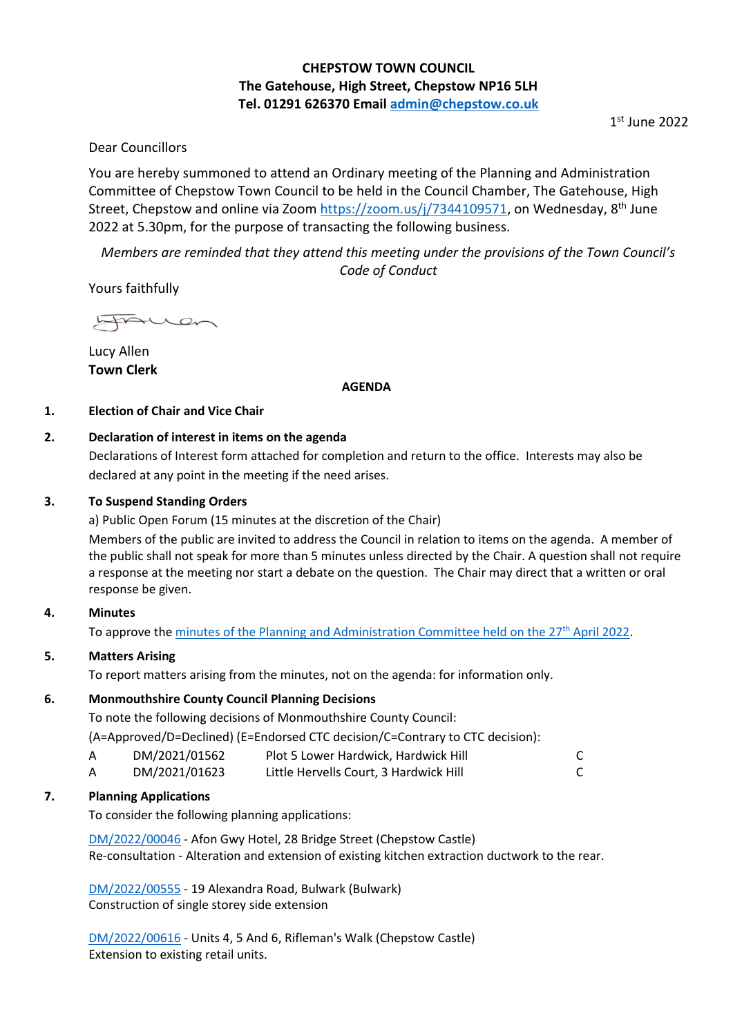# **CHEPSTOW TOWN COUNCIL The Gatehouse, High Street, Chepstow NP16 5LH Tel. 01291 626370 Email [admin@chepstow.co.uk](mailto:admin@chepstow.co.uk)**

1 st June 2022

## Dear Councillors

You are hereby summoned to attend an Ordinary meeting of the Planning and Administration Committee of Chepstow Town Council to be held in the Council Chamber, The Gatehouse, High Street, Chepstow and online via Zoom [https://zoom.us/j/7344109571,](https://zoom.us/j/7344109571) on Wednesday, 8<sup>th</sup> June 2022 at 5.30pm, for the purpose of transacting the following business.

*Members are reminded that they attend this meeting under the provisions of the Town Council's Code of Conduct*

Yours faithfully

HAUen

Lucy Allen **Town Clerk**

### **AGENDA**

## **1. Election of Chair and Vice Chair**

## **2. Declaration of interest in items on the agenda**

Declarations of Interest form attached for completion and return to the office. Interests may also be declared at any point in the meeting if the need arises.

## **3. To Suspend Standing Orders**

a) Public Open Forum (15 minutes at the discretion of the Chair)

Members of the public are invited to address the Council in relation to items on the agenda. A member of the public shall not speak for more than 5 minutes unless directed by the Chair. A question shall not require a response at the meeting nor start a debate on the question. The Chair may direct that a written or oral response be given.

### **4. Minutes**

To approve th[e minutes of the Planning and Administration Committee held on the 27](http://www.chepstow.co.uk/_UserFiles/Files/_Minutes/143975-Minutes_of_Planning_OM_27th_April_2022.pdf)<sup>th</sup> April 2022.

## **5. Matters Arising**

To report matters arising from the minutes, not on the agenda: for information only.

### **6. Monmouthshire County Council Planning Decisions**

To note the following decisions of Monmouthshire County Council:

(A=Approved/D=Declined) (E=Endorsed CTC decision/C=Contrary to CTC decision):

- A DM/2021/01562 Plot 5 Lower Hardwick, Hardwick Hill C
- A DM/2021/01623 Little Hervells Court, 3 Hardwick Hill C

## **7. Planning Applications**

To consider the following planning applications:

[DM/2022/00046](https://planningonline.monmouthshire.gov.uk/online-applications/applicationDetails.do?keyVal=R5JFPZKYJ8K00&activeTab=summary) - Afon Gwy Hotel, 28 Bridge Street (Chepstow Castle) Re-consultation - Alteration and extension of existing kitchen extraction ductwork to the rear.

[DM/2022/00555](https://planningonline.monmouthshire.gov.uk/online-applications/applicationDetails.do?keyVal=RA0UWYKYKEP00&activeTab=summary) - 19 Alexandra Road, Bulwark (Bulwark) Construction of single storey side extension

[DM/2022/00616](https://planningonline.monmouthshire.gov.uk/online-applications/applicationDetails.do?keyVal=RAN6TIKY00300&activeTab=summary) - Units 4, 5 And 6, Rifleman's Walk (Chepstow Castle) Extension to existing retail units.